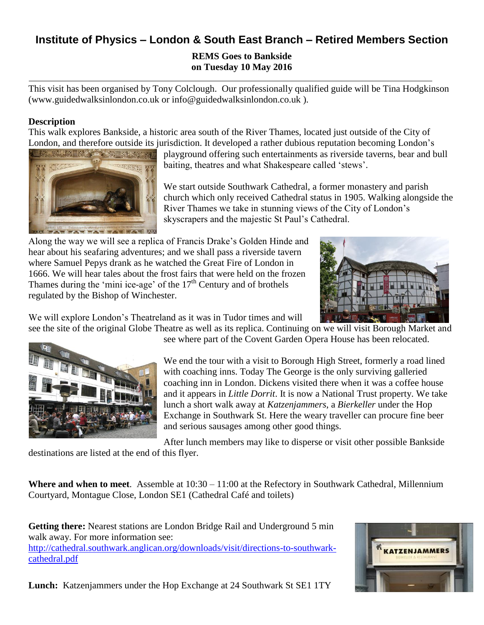# **Institute of Physics – London & South East Branch – Retired Members Section**

# **REMS Goes to Bankside on Tuesday 10 May 2016**

This visit has been organised by Tony Colclough. Our professionally qualified guide will be Tina Hodgkinson (www.guidedwalksinlondon.co.uk or info@guidedwalksinlondon.co.uk ).

## **Description**

This walk explores Bankside, a historic area south of the River Thames, located just outside of the City of London, and therefore outside its jurisdiction. It developed a rather dubious reputation becoming London's



playground offering such entertainments as riverside taverns, bear and bull baiting, theatres and what Shakespeare called 'stews'.

We start outside Southwark Cathedral, a former monastery and parish church which only received Cathedral status in 1905. Walking alongside the River Thames we take in stunning views of the City of London's skyscrapers and the majestic St Paul's Cathedral.

Along the way we will see a replica of Francis Drake's Golden Hinde and hear about his seafaring adventures; and we shall pass a riverside tavern where Samuel Pepys drank as he watched the Great Fire of London in 1666. We will hear tales about the frost fairs that were held on the frozen Thames during the 'mini ice-age' of the  $17<sup>th</sup>$  Century and of brothels regulated by the Bishop of Winchester.



We will explore London's Theatreland as it was in Tudor times and will

see the site of the original Globe Theatre as well as its replica. Continuing on we will visit Borough Market and see where part of the Covent Garden Opera House has been relocated.



We end the tour with a visit to Borough High Street, formerly a road lined with coaching inns. Today The George is the only surviving galleried coaching inn in London. Dickens visited there when it was a coffee house and it appears in *Little Dorrit*. It is now a National Trust property. We take lunch a short walk away at *Katzenjammers*, a *Bierkeller* under the Hop Exchange in Southwark St. Here the weary traveller can procure fine beer

After lunch members may like to disperse or visit other possible Bankside destinations are listed at the end of this flyer.

and serious sausages among other good things.

**Where and when to meet**. Assemble at 10:30 – 11:00 at the Refectory in Southwark Cathedral, Millennium Courtyard, Montague Close, London SE1 (Cathedral Café and toilets)

**Getting there:** Nearest stations are London Bridge Rail and Underground 5 min walk away. For more information see: [http://cathedral.southwark.anglican.org/downloads/visit/directions-to-southwark](http://cathedral.southwark.anglican.org/downloads/visit/directions-to-southwark-cathedral.pdf)[cathedral.pdf](http://cathedral.southwark.anglican.org/downloads/visit/directions-to-southwark-cathedral.pdf)



**Lunch:** Katzenjammers under the Hop Exchange at 24 Southwark St SE1 1TY